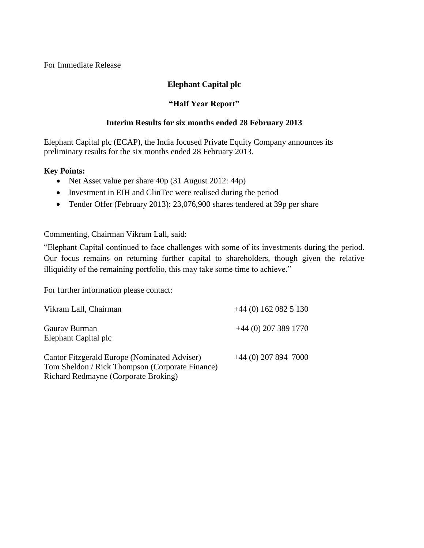For Immediate Release

## **Elephant Capital plc**

## **"Half Year Report"**

## **Interim Results for six months ended 28 February 2013**

Elephant Capital plc (ECAP), the India focused Private Equity Company announces its preliminary results for the six months ended 28 February 2013.

## **Key Points:**

- Net Asset value per share 40p (31 August 2012: 44p)
- Investment in EIH and ClinTec were realised during the period
- Tender Offer (February 2013): 23,076,900 shares tendered at 39p per share

Commenting, Chairman Vikram Lall, said:

"Elephant Capital continued to face challenges with some of its investments during the period. Our focus remains on returning further capital to shareholders, though given the relative illiquidity of the remaining portfolio, this may take some time to achieve."

For further information please contact:

| Vikram Lall, Chairman                                                                                                                   | $+44(0)$ 162 082 5 130 |
|-----------------------------------------------------------------------------------------------------------------------------------------|------------------------|
| Gauray Burman<br>Elephant Capital plc                                                                                                   | $+44$ (0) 207 389 1770 |
| Cantor Fitzgerald Europe (Nominated Adviser)<br>Tom Sheldon / Rick Thompson (Corporate Finance)<br>Richard Redmayne (Corporate Broking) | $+44$ (0) 207 894 7000 |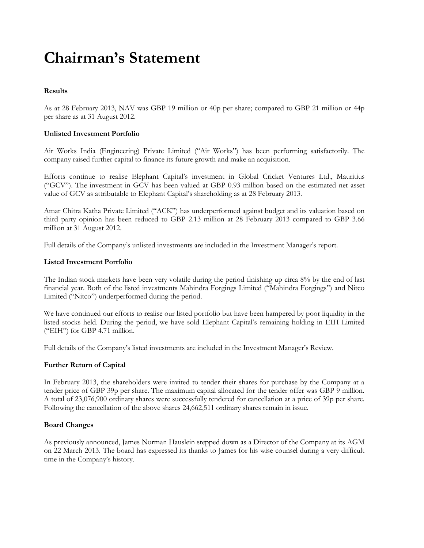# **Chairman's Statement**

### **Results**

As at 28 February 2013, NAV was GBP 19 million or 40p per share; compared to GBP 21 million or 44p per share as at 31 August 2012.

### **Unlisted Investment Portfolio**

Air Works India (Engineering) Private Limited ("Air Works") has been performing satisfactorily. The company raised further capital to finance its future growth and make an acquisition.

Efforts continue to realise Elephant Capital's investment in Global Cricket Ventures Ltd., Mauritius ("GCV"). The investment in GCV has been valued at GBP 0.93 million based on the estimated net asset value of GCV as attributable to Elephant Capital's shareholding as at 28 February 2013.

Amar Chitra Katha Private Limited ("ACK") has underperformed against budget and its valuation based on third party opinion has been reduced to GBP 2.13 million at 28 February 2013 compared to GBP 3.66 million at 31 August 2012.

Full details of the Company's unlisted investments are included in the Investment Manager's report.

#### **Listed Investment Portfolio**

The Indian stock markets have been very volatile during the period finishing up circa 8% by the end of last financial year. Both of the listed investments Mahindra Forgings Limited ("Mahindra Forgings") and Nitco Limited ("Nitco") underperformed during the period.

We have continued our efforts to realise our listed portfolio but have been hampered by poor liquidity in the listed stocks held. During the period, we have sold Elephant Capital's remaining holding in EIH Limited ("EIH") for GBP 4.71 million.

Full details of the Company's listed investments are included in the Investment Manager's Review.

#### **Further Return of Capital**

In February 2013, the shareholders were invited to tender their shares for purchase by the Company at a tender price of GBP 39p per share. The maximum capital allocated for the tender offer was GBP 9 million. A total of 23,076,900 ordinary shares were successfully tendered for cancellation at a price of 39p per share. Following the cancellation of the above shares 24,662,511 ordinary shares remain in issue.

#### **Board Changes**

As previously announced, James Norman Hauslein stepped down as a Director of the Company at its AGM on 22 March 2013. The board has expressed its thanks to James for his wise counsel during a very difficult time in the Company's history.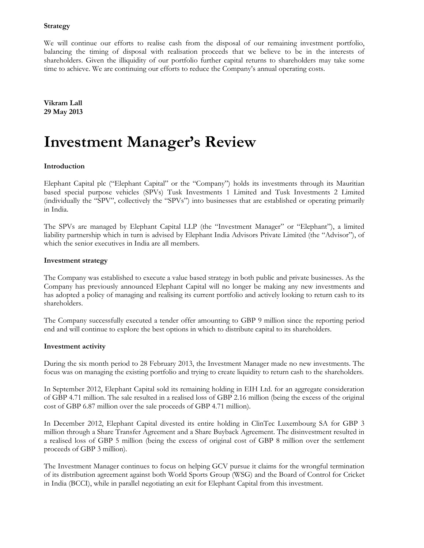#### **Strategy**

We will continue our efforts to realise cash from the disposal of our remaining investment portfolio, balancing the timing of disposal with realisation proceeds that we believe to be in the interests of shareholders. Given the illiquidity of our portfolio further capital returns to shareholders may take some time to achieve. We are continuing our efforts to reduce the Company's annual operating costs.

**Vikram Lall 29 May 2013**

# **Investment Manager's Review**

#### **Introduction**

Elephant Capital plc ("Elephant Capital" or the "Company") holds its investments through its Mauritian based special purpose vehicles (SPVs) Tusk Investments 1 Limited and Tusk Investments 2 Limited (individually the "SPV", collectively the "SPVs") into businesses that are established or operating primarily in India.

The SPVs are managed by Elephant Capital LLP (the "Investment Manager" or "Elephant"), a limited liability partnership which in turn is advised by Elephant India Advisors Private Limited (the "Advisor"), of which the senior executives in India are all members.

#### **Investment strategy**

The Company was established to execute a value based strategy in both public and private businesses. As the Company has previously announced Elephant Capital will no longer be making any new investments and has adopted a policy of managing and realising its current portfolio and actively looking to return cash to its shareholders.

The Company successfully executed a tender offer amounting to GBP 9 million since the reporting period end and will continue to explore the best options in which to distribute capital to its shareholders.

#### **Investment activity**

During the six month period to 28 February 2013, the Investment Manager made no new investments. The focus was on managing the existing portfolio and trying to create liquidity to return cash to the shareholders.

In September 2012, Elephant Capital sold its remaining holding in EIH Ltd. for an aggregate consideration of GBP 4.71 million. The sale resulted in a realised loss of GBP 2.16 million (being the excess of the original cost of GBP 6.87 million over the sale proceeds of GBP 4.71 million).

In December 2012, Elephant Capital divested its entire holding in ClinTec Luxembourg SA for GBP 3 million through a Share Transfer Agreement and a Share Buyback Agreement. The disinvestment resulted in a realised loss of GBP 5 million (being the excess of original cost of GBP 8 million over the settlement proceeds of GBP 3 million).

The Investment Manager continues to focus on helping GCV pursue it claims for the wrongful termination of its distribution agreement against both World Sports Group (WSG) and the Board of Control for Cricket in India (BCCI), while in parallel negotiating an exit for Elephant Capital from this investment.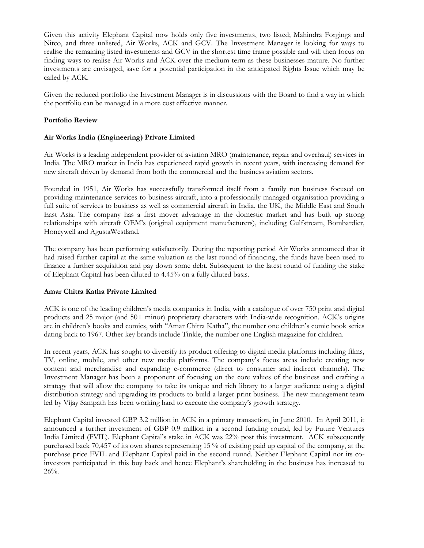Given this activity Elephant Capital now holds only five investments, two listed; Mahindra Forgings and Nitco, and three unlisted, Air Works, ACK and GCV. The Investment Manager is looking for ways to realise the remaining listed investments and GCV in the shortest time frame possible and will then focus on finding ways to realise Air Works and ACK over the medium term as these businesses mature. No further investments are envisaged, save for a potential participation in the anticipated Rights Issue which may be called by ACK.

Given the reduced portfolio the Investment Manager is in discussions with the Board to find a way in which the portfolio can be managed in a more cost effective manner.

#### **Portfolio Review**

#### **Air Works India (Engineering) Private Limited**

Air Works is a leading independent provider of aviation MRO (maintenance, repair and overhaul) services in India. The MRO market in India has experienced rapid growth in recent years, with increasing demand for new aircraft driven by demand from both the commercial and the business aviation sectors.

Founded in 1951, Air Works has successfully transformed itself from a family run business focused on providing maintenance services to business aircraft, into a professionally managed organisation providing a full suite of services to business as well as commercial aircraft in India, the UK, the Middle East and South East Asia. The company has a first mover advantage in the domestic market and has built up strong relationships with aircraft OEM's (original equipment manufacturers), including Gulfstream, Bombardier, Honeywell and AgustaWestland.

The company has been performing satisfactorily. During the reporting period Air Works announced that it had raised further capital at the same valuation as the last round of financing, the funds have been used to finance a further acquisition and pay down some debt. Subsequent to the latest round of funding the stake of Elephant Capital has been diluted to 4.45% on a fully diluted basis.

#### **Amar Chitra Katha Private Limited**

ACK is one of the leading children's media companies in India, with a catalogue of over 750 print and digital products and 25 major (and 50+ minor) proprietary characters with India-wide recognition. ACK's origins are in children's books and comics, with "Amar Chitra Katha", the number one children's comic book series dating back to 1967. Other key brands include Tinkle, the number one English magazine for children.

In recent years, ACK has sought to diversify its product offering to digital media platforms including films, TV, online, mobile, and other new media platforms. The company's focus areas include creating new content and merchandise and expanding e-commerce (direct to consumer and indirect channels). The Investment Manager has been a proponent of focusing on the core values of the business and crafting a strategy that will allow the company to take its unique and rich library to a larger audience using a digital distribution strategy and upgrading its products to build a larger print business. The new management team led by Vijay Sampath has been working hard to execute the company's growth strategy.

Elephant Capital invested GBP 3.2 million in ACK in a primary transaction, in June 2010. In April 2011, it announced a further investment of GBP 0.9 million in a second funding round, led by Future Ventures India Limited (FVIL). Elephant Capital's stake in ACK was 22% post this investment. ACK subsequently purchased back 70,457 of its own shares representing 15 % of existing paid up capital of the company, at the purchase price FVIL and Elephant Capital paid in the second round. Neither Elephant Capital nor its coinvestors participated in this buy back and hence Elephant's shareholding in the business has increased to 26%.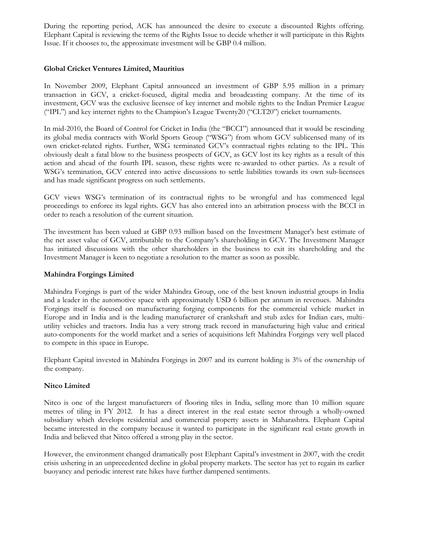During the reporting period, ACK has announced the desire to execute a discounted Rights offering. Elephant Capital is reviewing the terms of the Rights Issue to decide whether it will participate in this Rights Issue. If it chooses to, the approximate investment will be GBP 0.4 million.

#### **Global Cricket Ventures Limited, Mauritius**

In November 2009, Elephant Capital announced an investment of GBP 5.95 million in a primary transaction in GCV, a cricket-focused, digital media and broadcasting company. At the time of its investment, GCV was the exclusive licensee of key internet and mobile rights to the Indian Premier League ("IPL") and key internet rights to the Champion's League Twenty20 ("CLT20") cricket tournaments.

In mid-2010, the Board of Control for Cricket in India (the "BCCI") announced that it would be rescinding its global media contracts with World Sports Group ("WSG") from whom GCV sublicensed many of its own cricket-related rights. Further, WSG terminated GCV's contractual rights relating to the IPL. This obviously dealt a fatal blow to the business prospects of GCV, as GCV lost its key rights as a result of this action and ahead of the fourth IPL season, these rights were re-awarded to other parties. As a result of WSG's termination, GCV entered into active discussions to settle liabilities towards its own sub-licensees and has made significant progress on such settlements.

GCV views WSG's termination of its contractual rights to be wrongful and has commenced legal proceedings to enforce its legal rights. GCV has also entered into an arbitration process with the BCCI in order to reach a resolution of the current situation.

The investment has been valued at GBP 0.93 million based on the Investment Manager's best estimate of the net asset value of GCV, attributable to the Company's shareholding in GCV. The Investment Manager has initiated discussions with the other shareholders in the business to exit its shareholding and the Investment Manager is keen to negotiate a resolution to the matter as soon as possible.

#### **Mahindra Forgings Limited**

Mahindra Forgings is part of the wider Mahindra Group, one of the best known industrial groups in India and a leader in the automotive space with approximately USD 6 billion per annum in revenues. Mahindra Forgings itself is focused on manufacturing forging components for the commercial vehicle market in Europe and in India and is the leading manufacturer of crankshaft and stub axles for Indian cars, multiutility vehicles and tractors. India has a very strong track record in manufacturing high value and critical auto-components for the world market and a series of acquisitions left Mahindra Forgings very well placed to compete in this space in Europe.

Elephant Capital invested in Mahindra Forgings in 2007 and its current holding is 3% of the ownership of the company.

#### **Nitco Limited**

Nitco is one of the largest manufacturers of flooring tiles in India, selling more than 10 million square metres of tiling in FY 2012. It has a direct interest in the real estate sector through a wholly-owned subsidiary which develops residential and commercial property assets in Maharashtra. Elephant Capital became interested in the company because it wanted to participate in the significant real estate growth in India and believed that Nitco offered a strong play in the sector.

However, the environment changed dramatically post Elephant Capital's investment in 2007, with the credit crisis ushering in an unprecedented decline in global property markets. The sector has yet to regain its earlier buoyancy and periodic interest rate hikes have further dampened sentiments.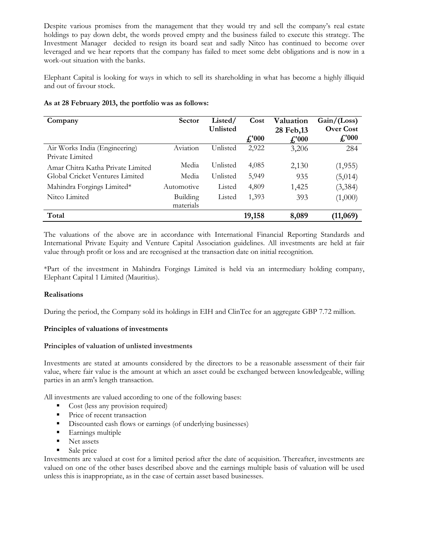Despite various promises from the management that they would try and sell the company's real estate holdings to pay down debt, the words proved empty and the business failed to execute this strategy. The Investment Manager decided to resign its board seat and sadly Nitco has continued to become over leveraged and we hear reports that the company has failed to meet some debt obligations and is now in a work-out situation with the banks.

Elephant Capital is looking for ways in which to sell its shareholding in what has become a highly illiquid and out of favour stock.

|  |  | As at 28 February 2013, the portfolio was as follows: |  |  |  |  |  |  |
|--|--|-------------------------------------------------------|--|--|--|--|--|--|
|--|--|-------------------------------------------------------|--|--|--|--|--|--|

| Company                                          | <b>Sector</b>         | Listed/<br>Unlisted | Cost                         | Valuation<br>28 Feb, 13      | Gain / (Loss)<br><b>Over Cost</b> |
|--------------------------------------------------|-----------------------|---------------------|------------------------------|------------------------------|-----------------------------------|
|                                                  |                       |                     | $\textbf{\textsterling}1000$ | $\textbf{\textsterling}1000$ | f''000                            |
| Air Works India (Engineering)<br>Private Limited | Aviation              | Unlisted            | 2,922                        | 3,206                        | 284                               |
| Amar Chitra Katha Private Limited                | Media                 | Unlisted            | 4,085                        | 2,130                        | (1,955)                           |
| Global Cricket Ventures Limited                  | Media                 | Unlisted            | 5,949                        | 935                          | (5,014)                           |
| Mahindra Forgings Limited*                       | Automotive            | Listed              | 4,809                        | 1,425                        | (3,384)                           |
| Nitco Limited                                    | Building<br>materials | Listed              | 1,393                        | 393                          | (1,000)                           |
| Total                                            |                       |                     | 19,158                       | 8,089                        | (11,069)                          |

The valuations of the above are in accordance with International Financial Reporting Standards and International Private Equity and Venture Capital Association guidelines. All investments are held at fair value through profit or loss and are recognised at the transaction date on initial recognition.

\*Part of the investment in Mahindra Forgings Limited is held via an intermediary holding company, Elephant Capital 1 Limited (Mauritius).

#### **Realisations**

During the period, the Company sold its holdings in EIH and ClinTec for an aggregate GBP 7.72 million.

#### **Principles of valuations of investments**

#### **Principles of valuation of unlisted investments**

Investments are stated at amounts considered by the directors to be a reasonable assessment of their fair value, where fair value is the amount at which an asset could be exchanged between knowledgeable, willing parties in an arm's length transaction.

All investments are valued according to one of the following bases:

- Cost (less any provision required)
- **Price of recent transaction**
- **Discounted cash flows or earnings (of underlying businesses)**
- Earnings multiple
- Net assets
- Sale price

Investments are valued at cost for a limited period after the date of acquisition. Thereafter, investments are valued on one of the other bases described above and the earnings multiple basis of valuation will be used unless this is inappropriate, as in the case of certain asset based businesses.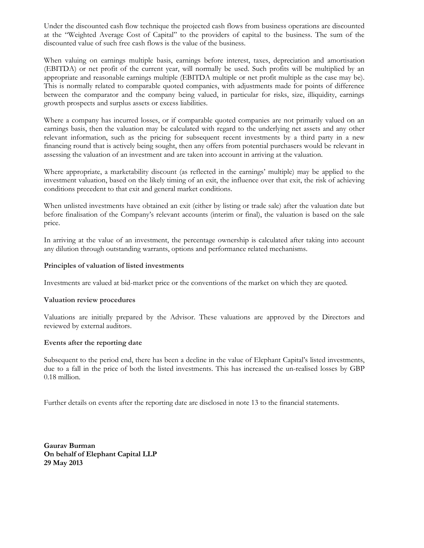Under the discounted cash flow technique the projected cash flows from business operations are discounted at the "Weighted Average Cost of Capital" to the providers of capital to the business. The sum of the discounted value of such free cash flows is the value of the business.

When valuing on earnings multiple basis, earnings before interest, taxes, depreciation and amortisation (EBITDA) or net profit of the current year, will normally be used. Such profits will be multiplied by an appropriate and reasonable earnings multiple (EBITDA multiple or net profit multiple as the case may be). This is normally related to comparable quoted companies, with adjustments made for points of difference between the comparator and the company being valued, in particular for risks, size, illiquidity, earnings growth prospects and surplus assets or excess liabilities.

Where a company has incurred losses, or if comparable quoted companies are not primarily valued on an earnings basis, then the valuation may be calculated with regard to the underlying net assets and any other relevant information, such as the pricing for subsequent recent investments by a third party in a new financing round that is actively being sought, then any offers from potential purchasers would be relevant in assessing the valuation of an investment and are taken into account in arriving at the valuation.

Where appropriate, a marketability discount (as reflected in the earnings' multiple) may be applied to the investment valuation, based on the likely timing of an exit, the influence over that exit, the risk of achieving conditions precedent to that exit and general market conditions.

When unlisted investments have obtained an exit (either by listing or trade sale) after the valuation date but before finalisation of the Company's relevant accounts (interim or final), the valuation is based on the sale price.

In arriving at the value of an investment, the percentage ownership is calculated after taking into account any dilution through outstanding warrants, options and performance related mechanisms.

#### **Principles of valuation of listed investments**

Investments are valued at bid-market price or the conventions of the market on which they are quoted.

#### **Valuation review procedures**

Valuations are initially prepared by the Advisor. These valuations are approved by the Directors and reviewed by external auditors.

#### **Events after the reporting date**

Subsequent to the period end, there has been a decline in the value of Elephant Capital's listed investments, due to a fall in the price of both the listed investments. This has increased the un-realised losses by GBP 0.18 million.

Further details on events after the reporting date are disclosed in note 13 to the financial statements.

**Gaurav Burman On behalf of Elephant Capital LLP 29 May 2013**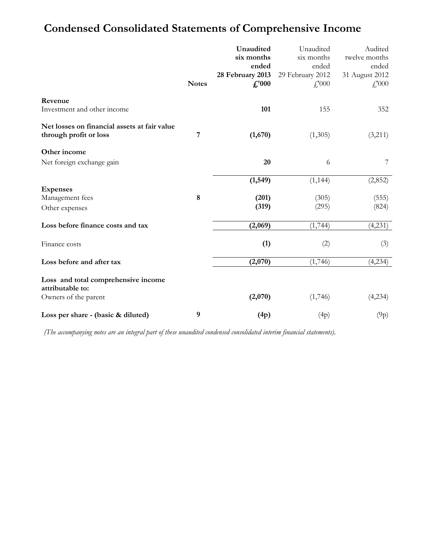# **Condensed Consolidated Statements of Comprehensive Income**

|                                                         |              | Unaudited        | Unaudited        | Audited                    |
|---------------------------------------------------------|--------------|------------------|------------------|----------------------------|
|                                                         |              | six months       | six months       | twelve months              |
|                                                         |              | ended            | ended            | ended                      |
|                                                         |              | 28 February 2013 | 29 February 2012 | 31 August 2012             |
|                                                         | <b>Notes</b> | f''000           | $f'_{1000}$      | $\textcolor{red}{f}$ , 000 |
| Revenue<br>Investment and other income                  |              | 101              | 155              | 352                        |
| Net losses on financial assets at fair value            |              |                  |                  |                            |
| through profit or loss                                  | 7            | (1,670)          | (1,305)          | (3,211)                    |
| Other income                                            |              |                  |                  |                            |
| Net foreign exchange gain                               |              | 20               | 6                | 7                          |
|                                                         |              | (1, 549)         | (1, 144)         | (2,852)                    |
| <b>Expenses</b>                                         |              |                  |                  |                            |
| Management fees                                         | $\bf 8$      | (201)            | (305)            | (555)                      |
| Other expenses                                          |              | (319)            | (295)            | (824)                      |
| Loss before finance costs and tax                       |              | (2,069)          | (1,744)          | (4,231)                    |
| Finance costs                                           |              | (1)              | (2)              | (3)                        |
| Loss before and after tax                               |              | (2,070)          | (1,746)          | (4,234)                    |
| Loss and total comprehensive income<br>attributable to: |              |                  |                  |                            |
| Owners of the parent                                    |              | (2,070)          | (1,746)          | (4,234)                    |
| Loss per share - (basic & diluted)                      | 9            | (4p)             | (4p)             | (9p)                       |

*(The accompanying notes are an integral part of these unaudited condensed consolidated interim financial statements).*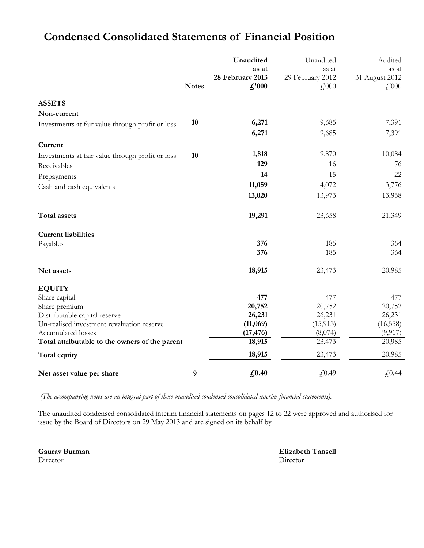|                                                  | <b>Notes</b> | Unaudited<br>as at<br>28 February 2013<br>$f''$ 000 | Unaudited<br>as at<br>29 February 2012<br>$f'_{000}$ | Audited<br>as at<br>31 August 2012<br>$\textcolor{red}{f}$ ,000 |
|--------------------------------------------------|--------------|-----------------------------------------------------|------------------------------------------------------|-----------------------------------------------------------------|
| <b>ASSETS</b>                                    |              |                                                     |                                                      |                                                                 |
| Non-current                                      |              |                                                     |                                                      |                                                                 |
| Investments at fair value through profit or loss | 10           | 6,271                                               | 9,685                                                | 7,391                                                           |
|                                                  |              | 6,271                                               | 9,685                                                | 7,391                                                           |
| Current                                          |              |                                                     |                                                      |                                                                 |
| Investments at fair value through profit or loss | 10           | 1,818                                               | 9,870                                                | 10,084                                                          |
| Receivables                                      |              | 129                                                 | 16                                                   | 76                                                              |
| Prepayments                                      |              | 14                                                  | 15                                                   | 22                                                              |
| Cash and cash equivalents                        |              | 11,059                                              | 4,072                                                | 3,776                                                           |
|                                                  |              | 13,020                                              | 13,973                                               | 13,958                                                          |
| <b>Total assets</b>                              |              | 19,291                                              | 23,658                                               | 21,349                                                          |
| <b>Current liabilities</b>                       |              |                                                     |                                                      |                                                                 |
| Payables                                         |              | 376                                                 | 185                                                  | 364                                                             |
|                                                  |              | $\overline{376}$                                    | 185                                                  | 364                                                             |
| Net assets                                       |              | 18,915                                              | 23,473                                               | 20,985                                                          |
| <b>EQUITY</b>                                    |              |                                                     |                                                      |                                                                 |
| Share capital                                    |              | 477                                                 | 477                                                  | 477                                                             |
| Share premium                                    |              | 20,752                                              | 20,752                                               | 20,752                                                          |
| Distributable capital reserve                    |              | 26,231                                              | 26,231                                               | 26,231                                                          |
| Un-realised investment revaluation reserve       |              | (11,069)                                            | (15, 913)                                            | (16, 558)                                                       |
| Accumulated losses                               |              | (17, 476)                                           | (8,074)                                              | (9, 917)                                                        |
| Total attributable to the owners of the parent   |              | 18,915                                              | 23,473                                               | 20,985                                                          |
| Total equity                                     |              | 18,915                                              | 23,473                                               | 20,985                                                          |
| Net asset value per share                        | 9            | £0.40                                               | £0.49                                                | £0.44                                                           |

# **Condensed Consolidated Statements of Financial Position**

*(The accompanying notes are an integral part of these unaudited condensed consolidated interim financial statements).*

The unaudited condensed consolidated interim financial statements on pages 12 to 22 were approved and authorised for issue by the Board of Directors on 29 May 2013 and are signed on its behalf by

Director Director

**Gaurav Burman Elizabeth Tansell**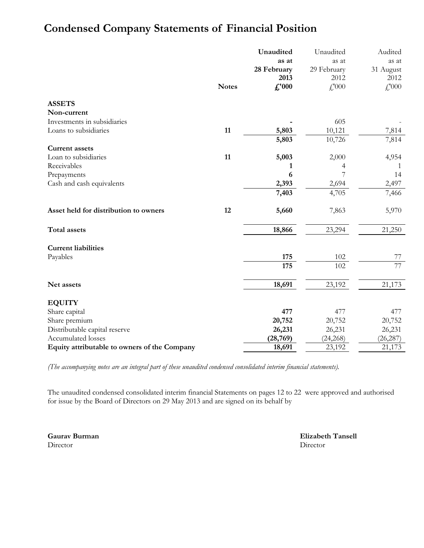# **Condensed Company Statements of Financial Position**

|                                              |              | Unaudited      | Unaudited   | Audited         |
|----------------------------------------------|--------------|----------------|-------------|-----------------|
|                                              |              | as at          | as at       | as at           |
|                                              |              | 28 February    | 29 February | 31 August       |
|                                              |              | 2013           | 2012        | 2012            |
|                                              | <b>Notes</b> | $\pounds$ '000 | £,000       | £,000           |
| <b>ASSETS</b>                                |              |                |             |                 |
| Non-current                                  |              |                |             |                 |
| Investments in subsidiaries                  |              |                | 605         |                 |
| Loans to subsidiaries                        | 11           | 5,803          | 10,121      | 7,814           |
|                                              |              | 5,803          | 10,726      | 7,814           |
| <b>Current assets</b>                        |              |                |             |                 |
| Loan to subsidiaries                         | 11           | 5,003          | 2,000       | 4,954           |
| Receivables                                  |              | 1              | 4           |                 |
| Prepayments                                  |              | 6              | 7           | 14              |
| Cash and cash equivalents                    |              | 2,393          | 2,694       | 2,497           |
|                                              |              | 7,403          | 4,705       | 7,466           |
| Asset held for distribution to owners        | 12           | 5,660          | 7,863       | 5,970           |
| <b>Total assets</b>                          |              | 18,866         | 23,294      | 21,250          |
| <b>Current liabilities</b>                   |              |                |             |                 |
| Payables                                     |              | 175            | 102         | 77              |
|                                              |              | 175            | 102         | $\overline{77}$ |
| Net assets                                   |              | 18,691         | 23,192      | 21,173          |
| <b>EQUITY</b>                                |              |                |             |                 |
| Share capital                                |              | 477            | 477         | 477             |
| Share premium                                |              | 20,752         | 20,752      | 20,752          |
| Distributable capital reserve                |              | 26,231         | 26,231      | 26,231          |
| Accumulated losses                           |              | (28, 769)      | (24, 268)   | (26, 287)       |
| Equity attributable to owners of the Company |              | 18,691         | 23,192      | 21,173          |

*(The accompanying notes are an integral part of these unaudited condensed consolidated interim financial statements).*

The unaudited condensed consolidated interim financial Statements on pages 12 to 22 were approved and authorised for issue by the Board of Directors on 29 May 2013 and are signed on its behalf by

Director Director

**Gaurav Burman Elizabeth Tansell**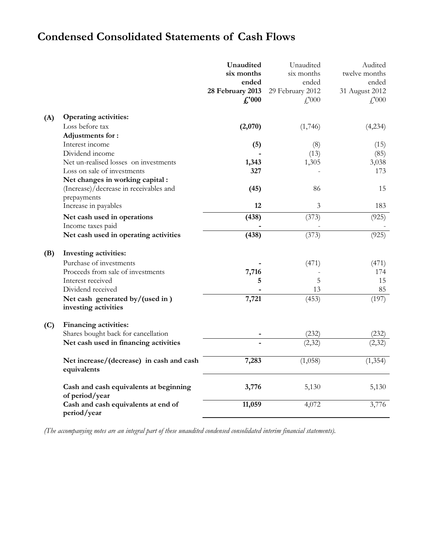# **Condensed Consolidated Statements of Cash Flows**

| six months<br>six months<br>twelve months<br>ended<br>ended<br>ended<br>28 February 2013<br>31 August 2012<br>29 February 2012<br>f''000<br>$\textcolor{red}{f}$ ,000<br>$\textcolor{red}{f}$ ,000<br><b>Operating activities:</b><br>(A)<br>Loss before tax<br>(2,070)<br>(1,746)<br>(4,234)<br>Adjustments for:<br>Interest income<br>(5)<br>(8)<br>(15)<br>Dividend income<br>(13)<br>(85)<br>Net un-realised losses on investments<br>1,343<br>1,305<br>3,038<br>Loss on sale of investments<br>327<br>173<br>Net changes in working capital:<br>(Increase)/decrease in receivables and<br>86<br>15<br>(45)<br>prepayments<br>12<br>Increase in payables<br>3<br>183<br>(438)<br>(373)<br>Net cash used in operations<br>(925)<br>Income taxes paid<br>(925)<br>Net cash used in operating activities<br>(438)<br>(373)<br>(B)<br>Investing activities:<br>Purchase of investments<br>(471)<br>(471)<br>Proceeds from sale of investments<br>7,716<br>174<br>Interest received<br>5<br>15<br>5<br>13<br>85<br>Dividend received<br>(197)<br>7,721<br>(453)<br>Net cash generated by/(used in)<br>investing activities<br>Financing activities:<br>(C)<br>Shares bought back for cancellation<br>(232)<br>(232)<br>Net cash used in financing activities<br>(2, 32)<br>(2,32)<br>7,283<br>(1,058)<br>(1, 354)<br>Net increase/(decrease) in cash and cash<br>equivalents<br>5,130<br>Cash and cash equivalents at beginning<br>3,776<br>5,130<br>of period/year<br>Cash and cash equivalents at end of<br>11,059<br>4,072<br>3,776<br>period/year |  | Unaudited | Unaudited | Audited |
|------------------------------------------------------------------------------------------------------------------------------------------------------------------------------------------------------------------------------------------------------------------------------------------------------------------------------------------------------------------------------------------------------------------------------------------------------------------------------------------------------------------------------------------------------------------------------------------------------------------------------------------------------------------------------------------------------------------------------------------------------------------------------------------------------------------------------------------------------------------------------------------------------------------------------------------------------------------------------------------------------------------------------------------------------------------------------------------------------------------------------------------------------------------------------------------------------------------------------------------------------------------------------------------------------------------------------------------------------------------------------------------------------------------------------------------------------------------------------------------------------------------------------------------------------|--|-----------|-----------|---------|
|                                                                                                                                                                                                                                                                                                                                                                                                                                                                                                                                                                                                                                                                                                                                                                                                                                                                                                                                                                                                                                                                                                                                                                                                                                                                                                                                                                                                                                                                                                                                                      |  |           |           |         |
|                                                                                                                                                                                                                                                                                                                                                                                                                                                                                                                                                                                                                                                                                                                                                                                                                                                                                                                                                                                                                                                                                                                                                                                                                                                                                                                                                                                                                                                                                                                                                      |  |           |           |         |
|                                                                                                                                                                                                                                                                                                                                                                                                                                                                                                                                                                                                                                                                                                                                                                                                                                                                                                                                                                                                                                                                                                                                                                                                                                                                                                                                                                                                                                                                                                                                                      |  |           |           |         |
|                                                                                                                                                                                                                                                                                                                                                                                                                                                                                                                                                                                                                                                                                                                                                                                                                                                                                                                                                                                                                                                                                                                                                                                                                                                                                                                                                                                                                                                                                                                                                      |  |           |           |         |
|                                                                                                                                                                                                                                                                                                                                                                                                                                                                                                                                                                                                                                                                                                                                                                                                                                                                                                                                                                                                                                                                                                                                                                                                                                                                                                                                                                                                                                                                                                                                                      |  |           |           |         |
|                                                                                                                                                                                                                                                                                                                                                                                                                                                                                                                                                                                                                                                                                                                                                                                                                                                                                                                                                                                                                                                                                                                                                                                                                                                                                                                                                                                                                                                                                                                                                      |  |           |           |         |
|                                                                                                                                                                                                                                                                                                                                                                                                                                                                                                                                                                                                                                                                                                                                                                                                                                                                                                                                                                                                                                                                                                                                                                                                                                                                                                                                                                                                                                                                                                                                                      |  |           |           |         |
|                                                                                                                                                                                                                                                                                                                                                                                                                                                                                                                                                                                                                                                                                                                                                                                                                                                                                                                                                                                                                                                                                                                                                                                                                                                                                                                                                                                                                                                                                                                                                      |  |           |           |         |
|                                                                                                                                                                                                                                                                                                                                                                                                                                                                                                                                                                                                                                                                                                                                                                                                                                                                                                                                                                                                                                                                                                                                                                                                                                                                                                                                                                                                                                                                                                                                                      |  |           |           |         |
|                                                                                                                                                                                                                                                                                                                                                                                                                                                                                                                                                                                                                                                                                                                                                                                                                                                                                                                                                                                                                                                                                                                                                                                                                                                                                                                                                                                                                                                                                                                                                      |  |           |           |         |
|                                                                                                                                                                                                                                                                                                                                                                                                                                                                                                                                                                                                                                                                                                                                                                                                                                                                                                                                                                                                                                                                                                                                                                                                                                                                                                                                                                                                                                                                                                                                                      |  |           |           |         |
|                                                                                                                                                                                                                                                                                                                                                                                                                                                                                                                                                                                                                                                                                                                                                                                                                                                                                                                                                                                                                                                                                                                                                                                                                                                                                                                                                                                                                                                                                                                                                      |  |           |           |         |
|                                                                                                                                                                                                                                                                                                                                                                                                                                                                                                                                                                                                                                                                                                                                                                                                                                                                                                                                                                                                                                                                                                                                                                                                                                                                                                                                                                                                                                                                                                                                                      |  |           |           |         |
|                                                                                                                                                                                                                                                                                                                                                                                                                                                                                                                                                                                                                                                                                                                                                                                                                                                                                                                                                                                                                                                                                                                                                                                                                                                                                                                                                                                                                                                                                                                                                      |  |           |           |         |
|                                                                                                                                                                                                                                                                                                                                                                                                                                                                                                                                                                                                                                                                                                                                                                                                                                                                                                                                                                                                                                                                                                                                                                                                                                                                                                                                                                                                                                                                                                                                                      |  |           |           |         |
|                                                                                                                                                                                                                                                                                                                                                                                                                                                                                                                                                                                                                                                                                                                                                                                                                                                                                                                                                                                                                                                                                                                                                                                                                                                                                                                                                                                                                                                                                                                                                      |  |           |           |         |
|                                                                                                                                                                                                                                                                                                                                                                                                                                                                                                                                                                                                                                                                                                                                                                                                                                                                                                                                                                                                                                                                                                                                                                                                                                                                                                                                                                                                                                                                                                                                                      |  |           |           |         |
|                                                                                                                                                                                                                                                                                                                                                                                                                                                                                                                                                                                                                                                                                                                                                                                                                                                                                                                                                                                                                                                                                                                                                                                                                                                                                                                                                                                                                                                                                                                                                      |  |           |           |         |
|                                                                                                                                                                                                                                                                                                                                                                                                                                                                                                                                                                                                                                                                                                                                                                                                                                                                                                                                                                                                                                                                                                                                                                                                                                                                                                                                                                                                                                                                                                                                                      |  |           |           |         |
|                                                                                                                                                                                                                                                                                                                                                                                                                                                                                                                                                                                                                                                                                                                                                                                                                                                                                                                                                                                                                                                                                                                                                                                                                                                                                                                                                                                                                                                                                                                                                      |  |           |           |         |
|                                                                                                                                                                                                                                                                                                                                                                                                                                                                                                                                                                                                                                                                                                                                                                                                                                                                                                                                                                                                                                                                                                                                                                                                                                                                                                                                                                                                                                                                                                                                                      |  |           |           |         |
|                                                                                                                                                                                                                                                                                                                                                                                                                                                                                                                                                                                                                                                                                                                                                                                                                                                                                                                                                                                                                                                                                                                                                                                                                                                                                                                                                                                                                                                                                                                                                      |  |           |           |         |
|                                                                                                                                                                                                                                                                                                                                                                                                                                                                                                                                                                                                                                                                                                                                                                                                                                                                                                                                                                                                                                                                                                                                                                                                                                                                                                                                                                                                                                                                                                                                                      |  |           |           |         |
|                                                                                                                                                                                                                                                                                                                                                                                                                                                                                                                                                                                                                                                                                                                                                                                                                                                                                                                                                                                                                                                                                                                                                                                                                                                                                                                                                                                                                                                                                                                                                      |  |           |           |         |
|                                                                                                                                                                                                                                                                                                                                                                                                                                                                                                                                                                                                                                                                                                                                                                                                                                                                                                                                                                                                                                                                                                                                                                                                                                                                                                                                                                                                                                                                                                                                                      |  |           |           |         |
|                                                                                                                                                                                                                                                                                                                                                                                                                                                                                                                                                                                                                                                                                                                                                                                                                                                                                                                                                                                                                                                                                                                                                                                                                                                                                                                                                                                                                                                                                                                                                      |  |           |           |         |
|                                                                                                                                                                                                                                                                                                                                                                                                                                                                                                                                                                                                                                                                                                                                                                                                                                                                                                                                                                                                                                                                                                                                                                                                                                                                                                                                                                                                                                                                                                                                                      |  |           |           |         |
|                                                                                                                                                                                                                                                                                                                                                                                                                                                                                                                                                                                                                                                                                                                                                                                                                                                                                                                                                                                                                                                                                                                                                                                                                                                                                                                                                                                                                                                                                                                                                      |  |           |           |         |
|                                                                                                                                                                                                                                                                                                                                                                                                                                                                                                                                                                                                                                                                                                                                                                                                                                                                                                                                                                                                                                                                                                                                                                                                                                                                                                                                                                                                                                                                                                                                                      |  |           |           |         |
|                                                                                                                                                                                                                                                                                                                                                                                                                                                                                                                                                                                                                                                                                                                                                                                                                                                                                                                                                                                                                                                                                                                                                                                                                                                                                                                                                                                                                                                                                                                                                      |  |           |           |         |
|                                                                                                                                                                                                                                                                                                                                                                                                                                                                                                                                                                                                                                                                                                                                                                                                                                                                                                                                                                                                                                                                                                                                                                                                                                                                                                                                                                                                                                                                                                                                                      |  |           |           |         |
|                                                                                                                                                                                                                                                                                                                                                                                                                                                                                                                                                                                                                                                                                                                                                                                                                                                                                                                                                                                                                                                                                                                                                                                                                                                                                                                                                                                                                                                                                                                                                      |  |           |           |         |
|                                                                                                                                                                                                                                                                                                                                                                                                                                                                                                                                                                                                                                                                                                                                                                                                                                                                                                                                                                                                                                                                                                                                                                                                                                                                                                                                                                                                                                                                                                                                                      |  |           |           |         |
|                                                                                                                                                                                                                                                                                                                                                                                                                                                                                                                                                                                                                                                                                                                                                                                                                                                                                                                                                                                                                                                                                                                                                                                                                                                                                                                                                                                                                                                                                                                                                      |  |           |           |         |
|                                                                                                                                                                                                                                                                                                                                                                                                                                                                                                                                                                                                                                                                                                                                                                                                                                                                                                                                                                                                                                                                                                                                                                                                                                                                                                                                                                                                                                                                                                                                                      |  |           |           |         |
|                                                                                                                                                                                                                                                                                                                                                                                                                                                                                                                                                                                                                                                                                                                                                                                                                                                                                                                                                                                                                                                                                                                                                                                                                                                                                                                                                                                                                                                                                                                                                      |  |           |           |         |
|                                                                                                                                                                                                                                                                                                                                                                                                                                                                                                                                                                                                                                                                                                                                                                                                                                                                                                                                                                                                                                                                                                                                                                                                                                                                                                                                                                                                                                                                                                                                                      |  |           |           |         |
|                                                                                                                                                                                                                                                                                                                                                                                                                                                                                                                                                                                                                                                                                                                                                                                                                                                                                                                                                                                                                                                                                                                                                                                                                                                                                                                                                                                                                                                                                                                                                      |  |           |           |         |
|                                                                                                                                                                                                                                                                                                                                                                                                                                                                                                                                                                                                                                                                                                                                                                                                                                                                                                                                                                                                                                                                                                                                                                                                                                                                                                                                                                                                                                                                                                                                                      |  |           |           |         |

*(The accompanying notes are an integral part of these unaudited condensed consolidated interim financial statements).*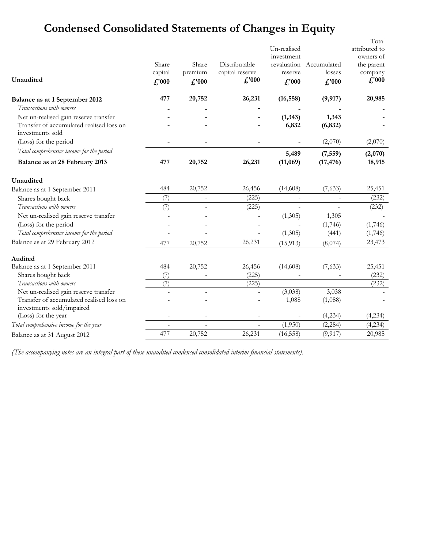# **Condensed Consolidated Statements of Changes in Equity**

| Unaudited                                                                                             | Share<br>capital<br>f''000 | Share<br>premium<br>$f''$ <sub>000</sub> | Distributable<br>capital reserve<br>$\pounds$ '000 | Un-realised<br>investment<br>reserve<br>$f''$ <sub>000</sub> | revaluation Accumulated<br>losses<br>f''000 | Total<br>attributed to<br>owners of<br>the parent<br>company<br>$\pounds$ '000 |
|-------------------------------------------------------------------------------------------------------|----------------------------|------------------------------------------|----------------------------------------------------|--------------------------------------------------------------|---------------------------------------------|--------------------------------------------------------------------------------|
| Balance as at 1 September 2012                                                                        | 477                        | 20,752                                   | 26,231                                             | (16, 558)                                                    | (9, 917)                                    | 20,985                                                                         |
| Transactions with owners                                                                              | $\blacksquare$             | $\blacksquare$                           |                                                    |                                                              |                                             |                                                                                |
| Net un-realised gain reserve transfer<br>Transfer of accumulated realised loss on<br>investments sold |                            |                                          |                                                    | (1, 343)<br>6,832                                            | 1,343<br>(6, 832)                           |                                                                                |
| (Loss) for the period                                                                                 |                            |                                          |                                                    |                                                              | (2,070)                                     | (2,070)                                                                        |
| Total comprehensive income for the period                                                             |                            |                                          |                                                    | 5,489                                                        | (7, 559)                                    | (2,070)                                                                        |
| Balance as at 28 February 2013                                                                        | 477                        | 20,752                                   | 26,231                                             | (11,069)                                                     | (17, 476)                                   | 18,915                                                                         |
| Unaudited                                                                                             |                            |                                          |                                                    |                                                              |                                             |                                                                                |
| Balance as at 1 September 2011                                                                        | 484                        | 20,752                                   | 26,456                                             | (14,608)                                                     | (7,633)                                     | 25,451                                                                         |
| Shares bought back                                                                                    | (7)                        |                                          | (225)                                              |                                                              |                                             | (232)                                                                          |
| Transactions with owners                                                                              | (7)                        | $\blacksquare$                           | (225)                                              | L.                                                           | $\blacksquare$                              | (232)                                                                          |
| Net un-realised gain reserve transfer                                                                 |                            |                                          | ä,                                                 | (1,305)                                                      | 1,305                                       |                                                                                |
| (Loss) for the period                                                                                 |                            |                                          |                                                    |                                                              | (1,746)                                     | (1,746)                                                                        |
| Total comprehensive income for the period                                                             | $\overline{\phantom{a}}$   | $\overline{\phantom{a}}$                 | $\mathcal{L}$                                      | (1,305)                                                      | (441)                                       | (1,746)                                                                        |
| Balance as at 29 February 2012                                                                        | 477                        | 20,752                                   | 26,231                                             | (15, 913)                                                    | (8,074)                                     | 23,473                                                                         |
| <b>Audited</b>                                                                                        |                            |                                          |                                                    |                                                              |                                             |                                                                                |
| Balance as at 1 September 2011                                                                        | 484                        | 20,752                                   | 26,456                                             | (14,608)                                                     | (7,633)                                     | 25,451                                                                         |
| Shares bought back                                                                                    | (7)                        |                                          | (225)                                              |                                                              |                                             | (232)                                                                          |
| Transactions with owners                                                                              | (7)                        | $\overline{\phantom{a}}$                 | (225)                                              |                                                              |                                             | (232)                                                                          |
| Net un-realised gain reserve transfer                                                                 |                            |                                          |                                                    | (3,038)                                                      | 3,038                                       |                                                                                |
| Transfer of accumulated realised loss on<br>investments sold/impaired                                 |                            |                                          |                                                    | 1,088                                                        | (1,088)                                     |                                                                                |
| (Loss) for the year                                                                                   |                            |                                          | $\overline{\phantom{a}}$                           |                                                              | (4,234)                                     | (4,234)                                                                        |
| Total comprehensive income for the year                                                               |                            | $\bar{a}$                                | $\overline{\phantom{a}}$                           | (1,950)                                                      | (2, 284)                                    | (4,234)                                                                        |
| Balance as at 31 August 2012                                                                          | 477                        | 20,752                                   | 26,231                                             | (16, 558)                                                    | (9, 917)                                    | 20,985                                                                         |

*(The accompanying notes are an integral part of these unaudited condensed consolidated interim financial statements).*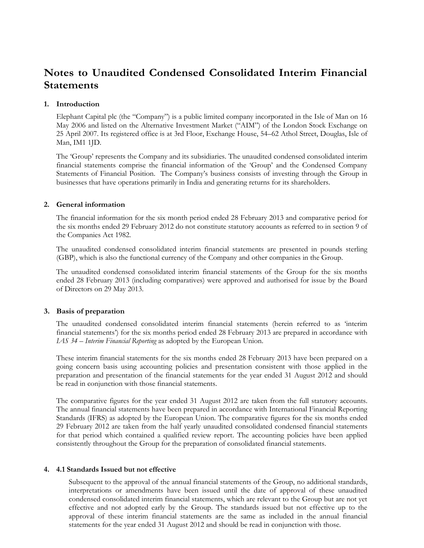# **Notes to Unaudited Condensed Consolidated Interim Financial Statements**

#### **1. Introduction**

Elephant Capital plc (the "Company") is a public limited company incorporated in the Isle of Man on 16 May 2006 and listed on the Alternative Investment Market ("AIM") of the London Stock Exchange on 25 April 2007. Its registered office is at 3rd Floor, Exchange House, 54–62 Athol Street, Douglas, Isle of Man, IM1 1JD.

The 'Group' represents the Company and its subsidiaries. The unaudited condensed consolidated interim financial statements comprise the financial information of the 'Group' and the Condensed Company Statements of Financial Position. The Company's business consists of investing through the Group in businesses that have operations primarily in India and generating returns for its shareholders.

#### **2. General information**

The financial information for the six month period ended 28 February 2013 and comparative period for the six months ended 29 February 2012 do not constitute statutory accounts as referred to in section 9 of the Companies Act 1982.

The unaudited condensed consolidated interim financial statements are presented in pounds sterling (GBP), which is also the functional currency of the Company and other companies in the Group.

The unaudited condensed consolidated interim financial statements of the Group for the six months ended 28 February 2013 (including comparatives) were approved and authorised for issue by the Board of Directors on 29 May 2013.

#### **3. Basis of preparation**

The unaudited condensed consolidated interim financial statements (herein referred to as 'interim financial statements') for the six months period ended 28 February 2013 are prepared in accordance with *IAS 34 – Interim Financial Reporting* as adopted by the European Union.

These interim financial statements for the six months ended 28 February 2013 have been prepared on a going concern basis using accounting policies and presentation consistent with those applied in the preparation and presentation of the financial statements for the year ended 31 August 2012 and should be read in conjunction with those financial statements.

The comparative figures for the year ended 31 August 2012 are taken from the full statutory accounts. The annual financial statements have been prepared in accordance with International Financial Reporting Standards (IFRS) as adopted by the European Union. The comparative figures for the six months ended 29 February 2012 are taken from the half yearly unaudited consolidated condensed financial statements for that period which contained a qualified review report. The accounting policies have been applied consistently throughout the Group for the preparation of consolidated financial statements.

#### **4. 4.1 Standards Issued but not effective**

Subsequent to the approval of the annual financial statements of the Group, no additional standards, interpretations or amendments have been issued until the date of approval of these unaudited condensed consolidated interim financial statements, which are relevant to the Group but are not yet effective and not adopted early by the Group. The standards issued but not effective up to the approval of these interim financial statements are the same as included in the annual financial statements for the year ended 31 August 2012 and should be read in conjunction with those.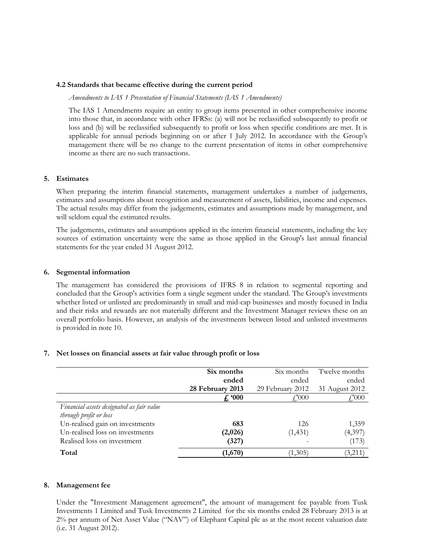#### **4.2 Standards that became effective during the current period**

*Amendments to IAS 1 Presentation of Financial Statements (IAS 1 Amendments)*

The IAS 1 Amendments require an entity to group items presented in other comprehensive income into those that, in accordance with other IFRSs: (a) will not be reclassified subsequently to profit or loss and (b) will be reclassified subsequently to profit or loss when specific conditions are met. It is applicable for annual periods beginning on or after 1 July 2012. In accordance with the Group's management there will be no change to the current presentation of items in other comprehensive income as there are no such transactions.

#### **5. Estimates**

When preparing the interim financial statements, management undertakes a number of judgements, estimates and assumptions about recognition and measurement of assets, liabilities, income and expenses. The actual results may differ from the judgements, estimates and assumptions made by management, and will seldom equal the estimated results.

The judgements, estimates and assumptions applied in the interim financial statements, including the key sources of estimation uncertainty were the same as those applied in the Group's last annual financial statements for the year ended 31 August 2012.

#### **6. Segmental information**

The management has considered the provisions of IFRS 8 in relation to segmental reporting and concluded that the Group's activities form a single segment under the standard. The Group's investments whether listed or unlisted are predominantly in small and mid-cap businesses and mostly focused in India and their risks and rewards are not materially different and the Investment Manager reviews these on an overall portfolio basis. However, an analysis of the investments between listed and unlisted investments is provided in note 10.

#### **7. Net losses on financial assets at fair value through profit or loss**

|                                           | Six months       | Six months       | Twelve months  |
|-------------------------------------------|------------------|------------------|----------------|
|                                           | ended            | ended            | ended          |
|                                           | 28 February 2013 | 29 February 2012 | 31 August 2012 |
|                                           | f. 900           | $f'_{.}000$      | £,'000         |
| Financial assets designated as fair value |                  |                  |                |
| through profit or loss                    |                  |                  |                |
| Un-realised gain on investments           | 683              | 126              | 1,359          |
| Un-realised loss on investments           | (2,026)          | (1, 431)         | (4,397)        |
| Realised loss on investment               | (327)            |                  | (173)          |
| Total                                     | (1,670)          | (1,305)          | (3,211)        |

#### **8. Management fee**

Under the "Investment Management agreement", the amount of management fee payable from Tusk Investments 1 Limited and Tusk Investments 2 Limited for the six months ended 28 February 2013 is at 2% per annum of Net Asset Value ("NAV") of Elephant Capital plc as at the most recent valuation date (i.e. 31 August 2012).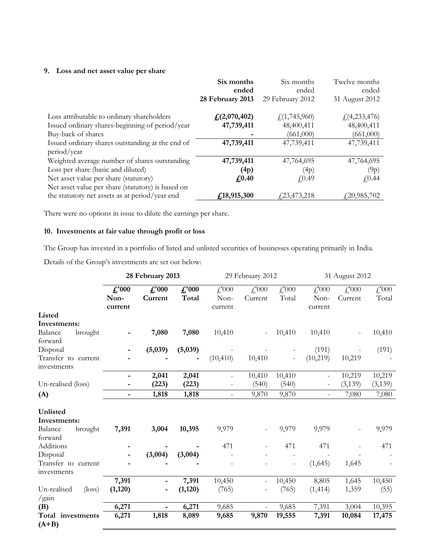## **9. Loss and net asset value per share**

|                                                   | Six months                 | Six months          | Twelve months  |
|---------------------------------------------------|----------------------------|---------------------|----------------|
|                                                   | ended                      | ended               | ended          |
|                                                   | 28 February 2013           | 29 February 2012    | 31 August 2012 |
| Loss attributable to ordinary shareholders        | f <sub>s</sub> (2,070,402) | f(1,745,960)        | f(4,233,476)   |
| Issued ordinary shares-beginning of period/year   | 47,739,411                 | 48,400,411          | 48,400,411     |
| Buy-back of shares                                |                            | (661,000)           | (661,000)      |
| Issued ordinary shares outstanding at the end of  | 47,739,411                 | 47,739,411          | 47,739,411     |
| period/year                                       |                            |                     |                |
| Weighted average number of shares outstanding     | 47,739,411                 | 47,764,695          | 47,764,695     |
| Loss per share (basic and diluted)                | (4p)                       | (4p)                | (9p)           |
| Net asset value per share (statutory)             | $f_{0.40}$                 | f(0.49)             | f(0.44)        |
| Net asset value per share (statutory) is based on |                            |                     |                |
| the statutory net assets as at period/year end    | f, 18, 915, 300            | <i>f</i> 23,473,218 | 420,985,702    |

There were no options in issue to dilute the earnings per share.

## **10. Investments at fair value through profit or loss**

The Group has invested in a portfolio of listed and unlisted securities of businesses operating primarily in India.

Details of the Group's investments are set out below:

|                                         | 28 February 2013                  |                           |                         | 29 February 2012         |                                       | 31 August 2012    |                                                              |                                       |                                                    |
|-----------------------------------------|-----------------------------------|---------------------------|-------------------------|--------------------------|---------------------------------------|-------------------|--------------------------------------------------------------|---------------------------------------|----------------------------------------------------|
|                                         | $\pounds$ '000<br>Non-<br>current | $\pounds$ '000<br>Current | $\pounds$ '000<br>Total | £'000<br>Non-<br>current | $\textcolor{red}{f}$ , 000<br>Current | £000<br>Total     | $\textcolor{red}{f\textcolor{blue}{000}}$<br>Non-<br>current | $\textcolor{red}{f}$ , 000<br>Current | $\textcolor{red}{f}\textcolor{blue}{000}$<br>Total |
| Listed                                  |                                   |                           |                         |                          |                                       |                   |                                                              |                                       |                                                    |
| Investments:                            |                                   |                           |                         |                          |                                       |                   |                                                              |                                       |                                                    |
| Balance<br>brought<br>forward           |                                   | 7,080                     | 7,080                   | 10,410                   |                                       | 10,410            | 10,410                                                       |                                       | 10,410                                             |
| Disposal                                |                                   | (5,039)                   | (5,039)                 |                          |                                       |                   | (191)                                                        |                                       | (191)                                              |
| Transfer to current<br>investments      |                                   |                           |                         | (10, 410)                | 10,410                                |                   | (10, 219)                                                    | 10,219                                |                                                    |
|                                         |                                   | 2,041                     | 2,041                   | $\overline{\phantom{a}}$ | 10,410                                | 10,410            |                                                              | 10,219                                | 10,219                                             |
| Un-realised (loss)                      |                                   | (223)                     | (223)                   |                          | (540)                                 | (540)             |                                                              | (3, 139)                              | (3,139)                                            |
| (A)                                     | -                                 | 1,818                     | 1,818                   | $\qquad \qquad -$        | 9,870                                 | 9,870             |                                                              | 7,080                                 | 7,080                                              |
| Unlisted<br>Investments:                |                                   |                           |                         |                          |                                       |                   |                                                              |                                       |                                                    |
| Balance<br>brought<br>forward           | 7,391                             | 3,004                     | 10,395                  | 9,979                    |                                       | 9,979             | 9,979                                                        |                                       | 9,979                                              |
| Additions                               |                                   |                           |                         | 471                      |                                       | 471               | 471                                                          | $\qquad \qquad -$                     | 471                                                |
| Disposal                                |                                   | (3,004)                   | (3,004)                 |                          |                                       |                   |                                                              |                                       |                                                    |
| Transfer to current<br>investments      |                                   |                           |                         |                          |                                       | $\qquad \qquad -$ | (1,645)                                                      | 1,645                                 |                                                    |
|                                         | 7,391                             |                           | 7,391                   | 10,450                   |                                       | 10,450            | 8,805                                                        | 1,645                                 | 10,450                                             |
| Un-realised<br>$(\text{loss})$<br>/gain | (1,120)                           |                           | (1,120)                 | (765)                    |                                       | (765)             | (1, 414)                                                     | 1,359                                 | (55)                                               |
| (B)                                     | 6,271                             |                           | 6,271                   | 9,685                    |                                       | 9,685             | 7,391                                                        | 3,004                                 | 10,395                                             |
| Total investments<br>$(A+B)$            | 6,271                             | 1,818                     | 8,089                   | 9,685                    | 9,870                                 | 19,555            | 7,391                                                        | 10,084                                | 17,475                                             |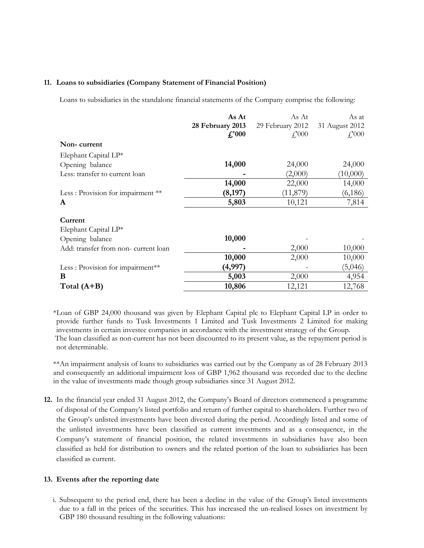#### **11. Loans to subsidiaries (Company Statement of Financial Position)**

Loans to subsidiaries in the standalone financial statements of the Company comprise the following:

| As At            | As At              | As at           |
|------------------|--------------------|-----------------|
| 28 February 2013 | 29 February 2012   | 31 August 2012  |
| f.'000           | $\mathcal{L}$ :000 | $f'_{\cdot}000$ |
|                  |                    |                 |
|                  |                    |                 |
| 14,000           | 24,000             | 24,000          |
|                  | (2,000)            | (10,000)        |
| 14,000           | 22,000             | 14,000          |
| (8, 197)         | (11, 879)          | (6,186)         |
| 5,803            | 10,121             | 7,814           |
|                  |                    |                 |
|                  |                    |                 |
| 10,000           |                    |                 |
|                  | 2,000              | 10,000          |
| 10,000           | 2,000              | 10,000          |
| (4,997)          |                    | (5,046)         |
| 5,003            | 2,000              | 4,954           |
| 10,806           | 12,121             | 12,768          |
|                  |                    |                 |

\*Loan of GBP 24,000 thousand was given by Elephant Capital plc to Elephant Capital LP in order to provide further funds to Tusk Investments 1 Limited and Tusk Investments 2 Limited for making investments in certain investee companies in accordance with the investment strategy of the Group. The loan classified as non-current has not been discounted to its present value, as the repayment period is not determinable.

\*\*An impairment analysis of loans to subsidiaries was carried out by the Company as of 28 February 2013 and consequently an additional impairment loss of GBP 1,962 thousand was recorded due to the decline in the value of investments made though group subsidiaries since 31 August 2012.

**12.** In the financial year ended 31 August 2012, the Company's Board of directors commenced a programme of disposal of the Company's listed portfolio and return of further capital to shareholders. Further two of the Group's unlisted investments have been divested during the period. Accordingly listed and some of the unlisted investments have been classified as current investments and as a consequence, in the Company's statement of financial position, the related investments in subsidiaries have also been classified as held for distribution to owners and the related portion of the loan to subsidiaries has been classified as current.

#### **13. Events after the reporting date**

i. Subsequent to the period end, there has been a decline in the value of the Group's listed investments due to a fall in the prices of the securities. This has increased the un-realised losses on investment by GBP 180 thousand resulting in the following valuations: